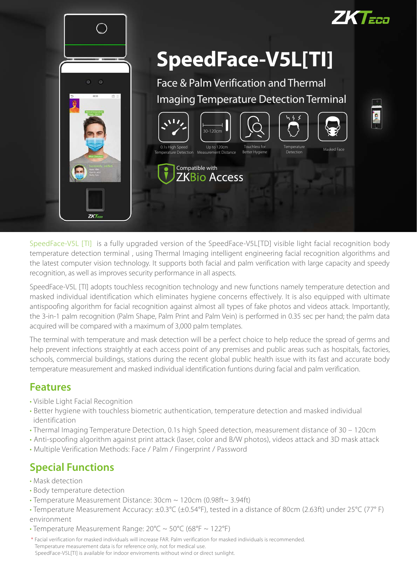

SpeedFace-V5L [TI] is a fully upgraded version of the SpeedFace-V5L[TD] visible light facial recognition body temperature detection terminal , using Thermal Imaging intelligent engineering facial recognition algorithms and the latest computer vision technology. It supports both facial and palm verification with large capacity and speedy recognition, as well as improves security performance in all aspects.

SpeedFace-V5L [TI] adopts touchless recognition technology and new functions namely temperature detection and masked individual identification which eliminates hygiene concerns effectively. It is also equipped with ultimate antispoofing algorithm for facial recognition against almost all types of fake photos and videos attack. Importantly, the 3-in-1 palm recognition (Palm Shape, Palm Print and Palm Vein) is performed in 0.35 sec per hand; the palm data acquired will be compared with a maximum of 3,000 palm templates.

The terminal with temperature and mask detection will be a perfect choice to help reduce the spread of germs and help prevent infections straightly at each access point of any premises and public areas such as hospitals, factories, schools, commercial buildings, stations during the recent global public health issue with its fast and accurate body temperature measurement and masked individual identification funtions during facial and palm verification.

#### **Features**

- **·** Visible Light Facial Recognition
- **·** Better hygiene with touchless biometric authentication, temperature detection and masked individual identification
- **·** Thermal Imaging Temperature Detection, 0.1s high Speed detection, measurement distance of 30 120cm
- **·** Anti-spoofing algorithm against print attack (laser, color and B/W photos), videos attack and 3D mask attack
- **·** Multiple Verification Methods: Face / Palm / Fingerprint / Password

### **Special Functions**

- Mask detection
- Body temperature detection
- Temperature Measurement Distance: 30cm ~ 120cm (0.98ft~ 3.94ft)
- Temperature Measurement Accuracy: ±0.3°C (±0.54°F), tested in a distance of 80cm (2.63ft) under 25°C (77° F) environment
- Temperature Measurement Range:  $20^{\circ}C \sim 50^{\circ}C$  (68°F ~ 122°F)
- \* Facial verification for masked individuals will increase FAR. Palm verification for masked individuals is recommended. Temperature measurement data is for reference only, not for medical use. SpeedFace-V5L[TI] is available for indoor enviroments without wind or direct sunlight.